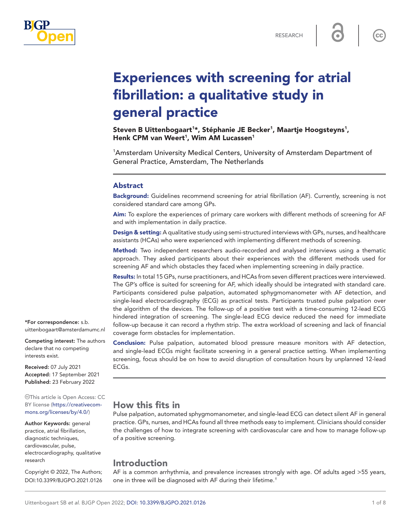

 $cc$ 

# Experiences with screening for atrial fibrillation: a qualitative study in general practice

Steven B Uittenbogaart<sup>1</sup>\*, Stéphanie JE Becker<sup>1</sup>, Maartje Hoogsteyns<sup>1</sup>, Henk CPM van Weert<sup>1</sup>, Wim AM Lucassen<sup>1</sup>

<sup>1</sup> Amsterdam University Medical Centers, University of Amsterdam Department of General Practice, Amsterdam, The Netherlands

#### Abstract

Background: Guidelines recommend screening for atrial fibrillation (AF). Currently, screening is not considered standard care among GPs.

Aim: To explore the experiences of primary care workers with different methods of screening for AF and with implementation in daily practice.

Design & setting: A qualitative study using semi-structured interviews with GPs, nurses, and healthcare assistants (HCAs) who were experienced with implementing different methods of screening.

Method: Two independent researchers audio-recorded and analysed interviews using a thematic approach. They asked participants about their experiences with the different methods used for screening AF and which obstacles they faced when implementing screening in daily practice.

Results: In total 15 GPs, nurse practitioners, and HCAs from seven different practices were interviewed. The GP's office is suited for screening for AF, which ideally should be integrated with standard care. Participants considered pulse palpation, automated sphygmomanometer with AF detection, and single-lead electrocardiography (ECG) as practical tests. Participants trusted pulse palpation over the algorithm of the devices. The follow-up of a positive test with a time-consuming 12-lead ECG hindered integration of screening. The single-lead ECG device reduced the need for immediate follow-up because it can record a rhythm strip. The extra workload of screening and lack of financial coverage form obstacles for implementation.

Conclusion: Pulse palpation, automated blood pressure measure monitors with AF detection, and single-lead ECGs might facilitate screening in a general practice setting. When implementing screening, focus should be on how to avoid disruption of consultation hours by unplanned 12-lead ECGs.

# How this fits in

Pulse palpation, automated sphygmomanometer, and single-lead ECG can detect silent AF in general practice. GPs, nurses, and HCAs found all three methods easy to implement. Clinicians should consider the challenges of how to integrate screening with cardiovascular care and how to manage follow-up of a positive screening.

# Introduction

AF is a common arrhythmia, and prevalence increases strongly with age. Of adults aged >55 years, one in three will be diagnosed with AF during their lifetime.*[1](#page-6-0)*

\*For correspondence: [s.b.](mailto:s.b.uittenbogaart@amsterdamumc.nl) [uittenbogaart@amsterdamumc.nl](mailto:s.b.uittenbogaart@amsterdamumc.nl)

Competing interest: The authors declare that no competing interests exist.

Received: 07 July 2021 Accepted: 17 September 2021 Published: 23 February 2022

This article is Open Access: CC BY license [\(https://creativecom](https://creativecommons.org/licenses/by/4.0/)[mons.org/licenses/by/4.0/\)](https://creativecommons.org/licenses/by/4.0/)

Author Keywords: general practice, atrial fibrillation, diagnostic techniques, cardiovascular, pulse, electrocardiography, qualitative research

Copyright © 2022, The Authors; DOI:10.3399/BJGPO.2021.0126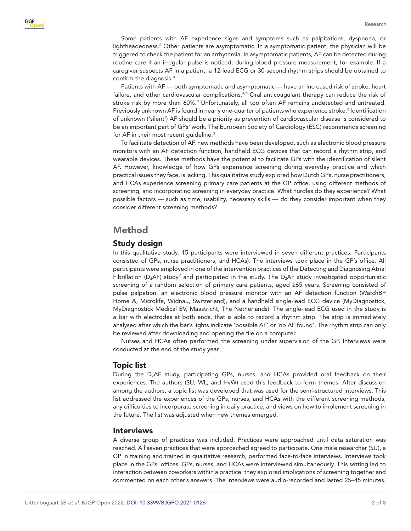Some patients with AF experience signs and symptoms such as palpitations, dyspnoea, or lightheadedness.*[2](#page-6-1)* Other patients are asymptomatic. In a symptomatic patient, the physician will be triggered to check the patient for an arrhythmia. In asymptomatic patients, AF can be detected during routine care if an irregular pulse is noticed; during blood pressure measurement, for example. If a caregiver suspects AF in a patient, a 12-lead ECG or 30-second rhythm strips should be obtained to confirm the diagnosis.*[3](#page-6-2)*

Patients with AF — both symptomatic and asymptomatic — have an increased risk of stroke, heart failure, and other cardiovascular complications.*[4,5](#page-6-3)* Oral anticoagulant therapy can reduce the risk of stroke risk by more than 60%.*[3](#page-6-2)* Unfortunately, all too often AF remains undetected and untreated. Previously unknown AF is found in nearly one-quarter of patients who experience stroke.<sup>[6](#page-6-4)</sup> Identification of unknown ('silent') AF should be a priority as prevention of cardiovascular disease is considered to be an important part of GPs' work. The European Society of Cardiology (ESC) recommends screening for AF in their most recent guideline.*[3](#page-6-2)*

To facilitate detection of AF, new methods have been developed, such as electronic blood pressure monitors with an AF detection function, handheld ECG devices that can record a rhythm strip, and wearable devices. These methods have the potential to facilitate GPs with the identification of silent AF. However, knowledge of how GPs experience screening during everyday practice and which practical issues they face, is lacking. This qualitative study explored how Dutch GPs, nurse practitioners, and HCAs experience screening primary care patients at the GP office, using different methods of screening, and incorporating screening in everyday practice. What hurdles do they experience? What possible factors — such as time, usability, necessary skills — do they consider important when they consider different screening methods?

## Method

### Study design

In this qualitative study, 15 participants were interviewed in seven different practices. Participants consisted of GPs, nurse practitioners, and HCAs). The interviews took place in the GP's office. All participants were employed in one of the intervention practices of the Detecting and Diagnosing Atrial Fibrillation (D<sub>2</sub>AF) study<sup>[7](#page-6-5)</sup> and participated in the study. The D<sub>2</sub>AF study investigated opportunistic screening of a random selection of primary care patients, aged ≥65 years. Screening consisted of pulse palpation, an electronic blood pressure monitor with an AF detection function (WatchBP Home A, Microlife, Widnau, Switzerland), and a handheld single-lead ECG device (MyDiagnostick, MyDiagnostick Medical BV, Maastricht, The Netherlands). The single-lead ECG used in the study is a bar with electrodes at both ends, that is able to record a rhythm strip. The strip is immediately analysed after which the bar's lights indicate 'possible AF' or 'no AF found'. The rhythm strip can only be reviewed after downloading and opening the file on a computer.

Nurses and HCAs often performed the screening under supervision of the GP. Interviews were conducted at the end of the study year.

#### Topic list

During the D<sub>2</sub>AF study, participating GPs, nurses, and HCAs provided oral feedback on their experiences. The authors (SU, WL, and HvW) used this feedback to form themes. After discussion among the authors, a topic list was developed that was used for the semi-structured interviews. This list addressed the experiences of the GPs, nurses, and HCAs with the different screening methods, any difficulties to incorporate screening in daily practice, and views on how to implement screening in the future. The list was adjusted when new themes emerged.

#### Interviews

A diverse group of practices was included. Practices were approached until data saturation was reached. All seven practices that were approached agreed to participate. One male researcher (SU), a GP in training and trained in qualitative research, performed face-to-face interviews. Interviews took place in the GPs' offices. GPs, nurses, and HCAs were interviewed simultaneously. This setting led to interaction between coworkers within a practice: they explored implications of screening together and commented on each other's answers. The interviews were audio-recorded and lasted 25–45 minutes.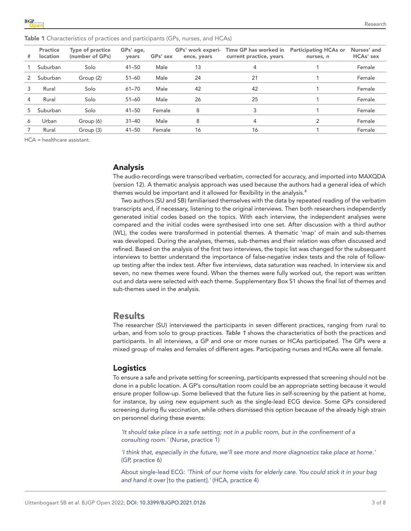| #             | <b>Practice</b><br><b>location</b> | <b>Type of practice</b><br>(number of GPs) | GPs' age,<br>years | GPs' sex | GPs' work experi-<br>ence, years | Time GP has worked in<br>current practice, years | <b>Participating HCAs or</b><br>nurses, n | Nurses' and<br>HCAs' sex |
|---------------|------------------------------------|--------------------------------------------|--------------------|----------|----------------------------------|--------------------------------------------------|-------------------------------------------|--------------------------|
|               | Suburban                           | Solo                                       | $41 - 50$          | Male     | 13                               | 4                                                |                                           | Female                   |
| $\mathcal{P}$ | Suburban                           | Group (2)                                  | $51 - 60$          | Male     | 24                               | 21                                               |                                           | Female                   |
| 3             | Rural                              | Solo                                       | $61 - 70$          | Male     | 42                               | 42                                               |                                           | Female                   |
| 4             | Rural                              | Solo                                       | $51 - 60$          | Male     | 26                               | 25                                               |                                           | Female                   |
| 5             | Suburban                           | Solo                                       | $41 - 50$          | Female   | 8                                |                                                  |                                           | Female                   |
| 6             | Urban                              | Group (6)                                  | $31 - 40$          | Male     | 8                                | 4                                                |                                           | Female                   |

7 Rural Group (3) 41–50 Female 16 16 1 Female

<span id="page-2-0"></span>Table 1 Characteristics of practices and participants (GPs, nurses, and HCAs)

HCA = healthcare assistant.

### Analysis

The audio-recordings were transcribed verbatim, corrected for accuracy, and imported into MAXQDA (version 12). A thematic analysis approach was used because the authors had a general idea of which themes would be important and it allowed for flexibility in the analysis.*[8](#page-6-6)*

Two authors (SU and SB) familiarised themselves with the data by repeated reading of the verbatim transcripts and, if necessary, listening to the original interviews. Then both researchers independently generated initial codes based on the topics. With each interview, the independent analyses were compared and the initial codes were synthesised into one set. After discussion with a third author (WL), the codes were transformed in potential themes. A thematic 'map' of main and sub-themes was developed. During the analyses, themes, sub-themes and their relation was often discussed and refined. Based on the analysis of the first two interviews, the topic list was changed for the subsequent interviews to better understand the importance of false-negative index tests and the role of followup testing after the index test. After five interviews, data saturation was reached. In interview six and seven, no new themes were found. When the themes were fully worked out, the report was written out and data were selected with each theme. Supplementary Box S1 shows the final list of themes and sub-themes used in the analysis.

## Results

The researcher (SU) interviewed the participants in seven different practices, ranging from rural to urban, and from solo to group practices. *[Table 1](#page-2-0)* shows the characteristics of both the practices and participants. In all interviews, a GP and one or more nurses or HCAs participated. The GPs were a mixed group of males and females of different ages. Participating nurses and HCAs were all female.

#### Logistics

To ensure a safe and private setting for screening, participants expressed that screening should not be done in a public location. A GP's consultation room could be an appropriate setting because it would ensure proper follow-up. Some believed that the future lies in self-screening by the patient at home, for instance, by using new equipment such as the single-lead ECG device. Some GPs considered screening during flu vaccination, while others dismissed this option because of the already high strain on personnel during these events:

*'It should take place in a safe setting; not in a public room, but in the confinement of a consulting room.'* (Nurse, practice 1)

*'I think that, especially in the future, we'll see more and more diagnostics take place at home.'* (GP, practice 6)

About single-lead ECG: *'Think of our home visits for elderly care. You could stick it in your bag and hand it over* [to the patient]*.'* (HCA, practice 4)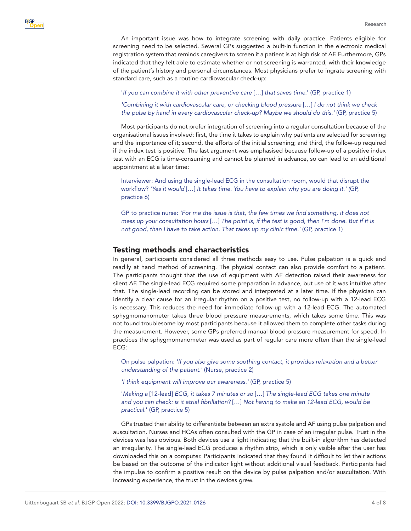An important issue was how to integrate screening with daily practice. Patients eligible for screening need to be selected. Several GPs suggested a built-in function in the electronic medical registration system that reminds caregivers to screen if a patient is at high risk of AF. Furthermore, GPs indicated that they felt able to estimate whether or not screening is warranted, with their knowledge of the patient's history and personal circumstances. Most physicians prefer to ingrate screening with standard care, such as a routine cardiovascular check-up:

'*If you can combine it with other preventive care* […] *that saves time*.' (GP, practice 1)

*'Combining it with cardiovascular care, or checking blood pressure* […] *I do not think we check the pulse by hand in every cardiovascular check-up? Maybe we should do this.'* (GP, practice 5)

Most participants do not prefer integration of screening into a regular consultation because of the organisational issues involved: first, the time it takes to explain why patients are selected for screening and the importance of it; second, the efforts of the initial screening; and third, the follow-up required if the index test is positive. The last argument was emphasised because follow-up of a positive index test with an ECG is time-consuming and cannot be planned in advance, so can lead to an additional appointment at a later time:

Interviewer: And using the single-lead ECG in the consultation room, would that disrupt the workflow? *'Yes it would* […] *It takes time. You have to explain why you are doing it.' (*GP, practice 6)

GP to practice nurse: *'For me the issue is that, the few times we find something, it does not mess up your consultation hours* […] *The point is, if the test is good, then I'm done. But if it is not good, than I have to take action. That takes up my clinic time.'* (GP, practice 1)

#### Testing methods and characteristics

In general, participants considered all three methods easy to use. Pulse palpation is a quick and readily at hand method of screening. The physical contact can also provide comfort to a patient. The participants thought that the use of equipment with AF detection raised their awareness for silent AF. The single-lead ECG required some preparation in advance, but use of it was intuitive after that. The single-lead recording can be stored and interpreted at a later time. If the physician can identify a clear cause for an irregular rhythm on a positive test, no follow-up with a 12-lead ECG is necessary. This reduces the need for immediate follow-up with a 12-lead ECG. The automated sphygmomanometer takes three blood pressure measurements, which takes some time. This was not found troublesome by most participants because it allowed them to complete other tasks during the measurement. However, some GPs preferred manual blood pressure measurement for speed. In practices the sphygmomanometer was used as part of regular care more often than the single-lead ECG:

On pulse palpation: *'If you also give some soothing contact, it provides relaxation and a better understanding of the patient.'* (Nurse, practice 2)

*'I think equipment will improve our awareness.'* (GP, practice 5)

'*Making a* [12-lead] *ECG, it takes 7 minutes or so* […] *The single-lead ECG takes one minute and you can check: is it atrial fibrillation?* […] *Not having to make an 12-lead ECG, would be practical.*' (GP, practice 5)

GPs trusted their ability to differentiate between an extra systole and AF using pulse palpation and auscultation. Nurses and HCAs often consulted with the GP in case of an irregular pulse. Trust in the devices was less obvious. Both devices use a light indicating that the built-in algorithm has detected an irregularity. The single-lead ECG produces a rhythm strip, which is only visible after the user has downloaded this on a computer. Participants indicated that they found it difficult to let their actions be based on the outcome of the indicator light without additional visual feedback. Participants had the impulse to confirm a positive result on the device by pulse palpation and/or auscultation. With increasing experience, the trust in the devices grew.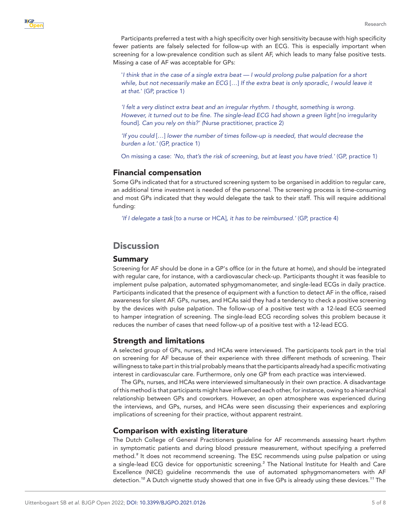Participants preferred a test with a high specificity over high sensitivity because with high specificity fewer patients are falsely selected for follow-up with an ECG. This is especially important when screening for a low-prevalence condition such as silent AF, which leads to many false positive tests. Missing a case of AF was acceptable for GPs:

'*I think that in the case of a single extra beat — I would prolong pulse palpation for a short while, but not necessarily make an ECG* […] *If the extra beat is only sporadic, I would leave it at that.*' (GP, practice 1)

*'I felt a very distinct extra beat and an irregular rhythm. I thought, something is wrong. However, it turned out to be fine. The single-lead ECG had shown a green light* [no irregularity found]. *Can you rely on this?' (*Nurse practitioner, practice 2)

*'If you could* […] *lower the number of times follow-up is needed, that would decrease the burden a lot.'* (GP, practice 1)

On missing a case: *'No, that's the risk of screening, but at least you have tried.'* (GP, practice 1)

#### Financial compensation

Some GPs indicated that for a structured screening system to be organised in addition to regular care, an additional time investment is needed of the personnel. The screening process is time-consuming and most GPs indicated that they would delegate the task to their staff. This will require additional funding:

*'If I delegate a task* [to a nurse or HCA]*, it has to be reimbursed.'* (GP, practice 4)

# **Discussion**

#### Summary

Screening for AF should be done in a GP's office (or in the future at home), and should be integrated with regular care, for instance, with a cardiovascular check-up. Participants thought it was feasible to implement pulse palpation, automated sphygmomanometer, and single-lead ECGs in daily practice. Participants indicated that the presence of equipment with a function to detect AF in the office, raised awareness for silent AF. GPs, nurses, and HCAs said they had a tendency to check a positive screening by the devices with pulse palpation. The follow-up of a positive test with a 12-lead ECG seemed to hamper integration of screening. The single-lead ECG recording solves this problem because it reduces the number of cases that need follow-up of a positive test with a 12-lead ECG.

## Strength and limitations

A selected group of GPs, nurses, and HCAs were interviewed. The participants took part in the trial on screening for AF because of their experience with three different methods of screening. Their willingness to take part in this trial probably means that the participants already had a specific motivating interest in cardiovascular care. Furthermore, only one GP from each practice was interviewed.

The GPs, nurses, and HCAs were interviewed simultaneously in their own practice. A disadvantage of this method is that participants might have influenced each other, for instance, owing to a hierarchical relationship between GPs and coworkers. However, an open atmosphere was experienced during the interviews, and GPs, nurses, and HCAs were seen discussing their experiences and exploring implications of screening for their practice, without apparent restraint.

#### Comparison with existing literature

The Dutch College of General Practitioners guideline for AF recommends assessing heart rhythm in symptomatic patients and during blood pressure measurement, without specifying a preferred method.*[9](#page-6-7)* It does not recommend screening. The ESC recommends using pulse palpation or using a single-lead ECG device for opportunistic screening.*[3](#page-6-2)* The National Institute for Health and Care Excellence (NICE) guideline recommends the use of automated sphygmomanometers with AF detection.*[10](#page-6-8)* A Dutch vignette study showed that one in five GPs is already using these devices.*[11](#page-6-9)* The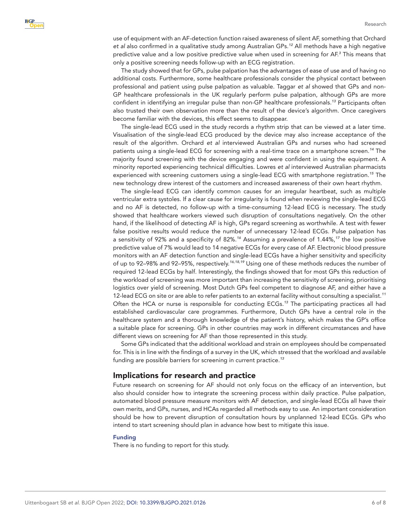use of equipment with an AF-detection function raised awareness of silent AF, something that Orchard *et al* also confirmed in a qualitative study among Australian GPs.*[12](#page-6-10)* All methods have a high negative predictive value and a low positive predictive value when used in screening for AF.*[3](#page-6-2)* This means that only a positive screening needs follow-up with an ECG registration.

The study showed that for GPs, pulse palpation has the advantages of ease of use and of having no additional costs. Furthermore, some healthcare professionals consider the physical contact between professional and patient using pulse palpation as valuable. Taggar *et al* showed that GPs and non-GP healthcare professionals in the UK regularly perform pulse palpation, although GPs are more confident in identifying an irregular pulse than non-GP healthcare professionals.*[13](#page-6-11)* Participants often also trusted their own observation more than the result of the device's algorithm. Once caregivers become familiar with the devices, this effect seems to disappear.

The single-lead ECG used in the study records a rhythm strip that can be viewed at a later time. Visualisation of the single-lead ECG produced by the device may also increase acceptance of the result of the algorithm. Orchard *et al* interviewed Australian GPs and nurses who had screened patients using a single-lead ECG for screening with a real-time trace on a smartphone screen.*[14](#page-6-12)* The majority found screening with the device engaging and were confident in using the equipment. A minority reported experiencing technical difficulties. Lowres *et al* interviewed Australian pharmacists experienced with screening customers using a single-lead ECG with smartphone registration.*[15](#page-6-13)* The new technology drew interest of the customers and increased awareness of their own heart rhythm.

The single-lead ECG can identify common causes for an irregular heartbeat, such as multiple ventricular extra systoles. If a clear cause for irregularity is found when reviewing the single-lead ECG and no AF is detected, no follow-up with a time-consuming 12-lead ECG is necessary. The study showed that healthcare workers viewed such disruption of consultations negatively. On the other hand, if the likelihood of detecting AF is high, GPs regard screening as worthwhile. A test with fewer false positive results would reduce the number of unnecessary 12-lead ECGs. Pulse palpation has a sensitivity of 92% and a specificity of 82%.*[16](#page-6-14)* Assuming a prevalence of 1.44%,*[17](#page-6-15)* the low positive predictive value of 7% would lead to 14 negative ECGs for every case of AF. Electronic blood pressure monitors with an AF detection function and single-lead ECGs have a higher sensitivity and specificity of up to 92–98% and 92–95%, respectively.*[16,18,19](#page-6-14)* Using one of these methods reduces the number of required 12-lead ECGs by half. Interestingly, the findings showed that for most GPs this reduction of the workload of screening was more important than increasing the sensitivity of screening, prioritising logistics over yield of screening. Most Dutch GPs feel competent to diagnose AF, and either have a 12-lead ECG on site or are able to refer patients to an external facility without consulting a specialist.*[11](#page-6-9)* Often the HCA or nurse is responsible for conducting ECGs.*[13](#page-6-11)* The participating practices all had established cardiovascular care programmes. Furthermore, Dutch GPs have a central role in the healthcare system and a thorough knowledge of the patient's history, which makes the GP's office a suitable place for screening. GPs in other countries may work in different circumstances and have different views on screening for AF than those represented in this study.

Some GPs indicated that the additional workload and strain on employees should be compensated for. This is in line with the findings of a survey in the UK, which stressed that the workload and available funding are possible barriers for screening in current practice.*[13](#page-6-11)*

### Implications for research and practice

Future research on screening for AF should not only focus on the efficacy of an intervention, but also should consider how to integrate the screening process within daily practice. Pulse palpation, automated blood pressure measure monitors with AF detection, and single-lead ECGs all have their own merits, and GPs, nurses, and HCAs regarded all methods easy to use. An important consideration should be how to prevent disruption of consultation hours by unplanned 12-lead ECGs. GPs who intend to start screening should plan in advance how best to mitigate this issue.

#### Funding

There is no funding to report for this study.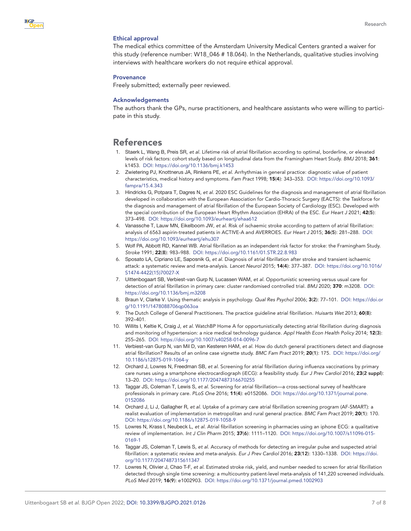#### Ethical approval

The medical ethics committee of the Amsterdam University Medical Centers granted a waiver for this study (reference number: W18\_046 # 18.064). In the Netherlands, qualitative studies involving interviews with healthcare workers do not require ethical approval.

#### **Provenance**

Freely submitted; externally peer reviewed.

#### Acknowledgements

The authors thank the GPs, nurse practitioners, and healthcare assistants who were willing to participate in this study.

## References

- <span id="page-6-0"></span>1. Staerk L, Wang B, Preis SR, *et al*. Lifetime risk of atrial fibrillation according to optimal, borderline, or elevated levels of risk factors: cohort study based on longitudinal data from the Framingham Heart Study. *BMJ* 2018; 361: k1453. DOI:<https://doi.org/10.1136/bmj.k1453>
- <span id="page-6-1"></span>2. Zwietering PJ, Knottnerus JA, Rinkens PE, *et al*. Arrhythmias in general practice: diagnostic value of patient characteristics, medical history and symptoms. *Fam Pract* 1998; 15(4): 343–353. DOI: [https://doi.org/10.1093/](https://doi.org/10.1093/fampra/15.4.343) [fampra/15.4.343](https://doi.org/10.1093/fampra/15.4.343)
- <span id="page-6-2"></span>3. Hindricks G, Potpara T, Dagres N, *et al*. 2020 ESC Guidelines for the diagnosis and management of atrial fibrillation developed in collaboration with the European Association for Cardio-Thoracic Surgery (EACTS): the Taskforce for the diagnosis and management of atrial fibrillation of the European Society of Cardiology (ESC). Developed with the special contribution of the European Heart Rhythm Association (EHRA) of the ESC. *Eur Heart J* 2021; 42(5): 373–498. DOI:<https://doi.org/10.1093/eurheartj/ehaa612>
- <span id="page-6-3"></span>4. Vanassche T, Lauw MN, Eikelboom JW, *et al*. Risk of ischaemic stroke according to pattern of atrial fibrillation: analysis of 6563 aspirin-treated patients in ACTIVE-A and AVERROES. *Eur Heart J* 2015; 36(5): 281–288. DOI: <https://doi.org/10.1093/eurheartj/ehu307>
- 5. Wolf PA, Abbott RD, Kannel WB. Atrial fibrillation as an independent risk factor for stroke: the Framingham Study. *Stroke* 1991; 22(8): 983–988. DOI: <https://doi.org/10.1161/01.STR.22.8.983>
- <span id="page-6-4"></span>6. Sposato LA, Cipriano LE, Saposnik G, *et al*. Diagnosis of atrial fibrillation after stroke and transient ischaemic attack: a systematic review and meta-analysis. *Lancet Neurol* 2015; 14(4): 377–387. DOI: [https://doi.org/10.1016/](https://doi.org/10.1016/S1474-4422(15)70027-X) [S1474-4422\(15\)70027-X](https://doi.org/10.1016/S1474-4422(15)70027-X)
- <span id="page-6-5"></span>7. Uittenbogaart SB, Verbiest-van Gurp N, Lucassen WAM, *et al*. Opportunistic screening versus usual care for detection of atrial fibrillation in primary care: cluster randomised controlled trial. *BMJ* 2020; 370: m3208. DOI: <https://doi.org/10.1136/bmj.m3208>
- <span id="page-6-6"></span>8. Braun V, Clarke V. Using thematic analysis in psychology. *Qual Res Psychol* 2006; 3(2): 77–101. DOI: [https://doi.or](https://doi.org/10.1191/1478088706qp063oa) [g/10.1191/1478088706qp063oa](https://doi.org/10.1191/1478088706qp063oa)
- <span id="page-6-7"></span>9. The Dutch College of General Practitioners. The practice guideline atrial fibrillation. *Huisarts Wet* 2013; 60(8): 392–401.
- <span id="page-6-8"></span>10. Willits I, Keltie K, Craig J, *et al*. WatchBP Home A for opportunistically detecting atrial fibrillation during diagnosis and monitoring of hypertension: a nice medical technology guidance. *Appl Health Econ Health Policy* 2014; 12(3): 255–265. DOI:<https://doi.org/10.1007/s40258-014-0096-7>
- <span id="page-6-9"></span>11. Verbiest-van Gurp N, van Mil D, van Kesteren HAM, *et al*. How do dutch general practitioners detect and diagnose atrial fibrillation? Results of an online case vignette study. *BMC Fam Pract* 2019; 20(1): 175. DOI: [https://doi.org/](https://doi.org/10.1186/s12875-019-1064-y) [10.1186/s12875-019-1064-y](https://doi.org/10.1186/s12875-019-1064-y)
- <span id="page-6-10"></span>12. Orchard J, Lowres N, Freedman SB, *et al*. Screening for atrial fibrillation during influenza vaccinations by primary care nurses using a smartphone electrocardiograph (iECG): a feasibility study. *Eur J Prev Cardiol* 2016; 23(2 suppl): 13–20. DOI:<https://doi.org/10.1177/2047487316670255>
- <span id="page-6-11"></span>13. Taggar JS, Coleman T, Lewis S, *et al*. Screening for atrial fibrillation—a cross-sectional survey of healthcare professionals in primary care. *PLoS One* 2016; 11(4): e0152086. DOI: [https://doi.org/10.1371/journal.pone.](https://doi.org/10.1371/journal.pone.0152086) [0152086](https://doi.org/10.1371/journal.pone.0152086)
- <span id="page-6-12"></span>14. Orchard J, Li J, Gallagher R, *et al*. Uptake of a primary care atrial fibrillation screening program (AF-SMART): a realist evaluation of implementation in metropolitan and rural general practice. *BMC Fam Pract* 2019; 20(1): 170. DOI:<https://doi.org/10.1186/s12875-019-1058-9>
- <span id="page-6-13"></span>15. Lowres N, Krass I, Neubeck L, *et al*. Atrial fibrillation screening in pharmacies using an iphone ECG: a qualitative review of implementation. *Int J Clin Pharm* 2015; 37(6): 1111–1120. DOI: [https://doi.org/10.1007/s11096-015-](https://doi.org/10.1007/s11096-015-0169-1) [0169-1](https://doi.org/10.1007/s11096-015-0169-1)
- <span id="page-6-14"></span>16. Taggar JS, Coleman T, Lewis S, *et al*. Accuracy of methods for detecting an irregular pulse and suspected atrial fibrillation: a systematic review and meta-analysis. *Eur J Prev Cardiol* 2016; 23(12): 1330–1338. DOI: [https://doi.](https://doi.org/10.1177/2047487315611347) [org/10.1177/2047487315611347](https://doi.org/10.1177/2047487315611347)
- <span id="page-6-15"></span>17. Lowres N, Olivier J, Chao T-F, *et al*. Estimated stroke risk, yield, and number needed to screen for atrial fibrillation detected through single time screening: a multicountry patient-level meta-analysis of 141,220 screened individuals. *PLoS Med* 2019; 16(9): e1002903. DOI:<https://doi.org/10.1371/journal.pmed.1002903>